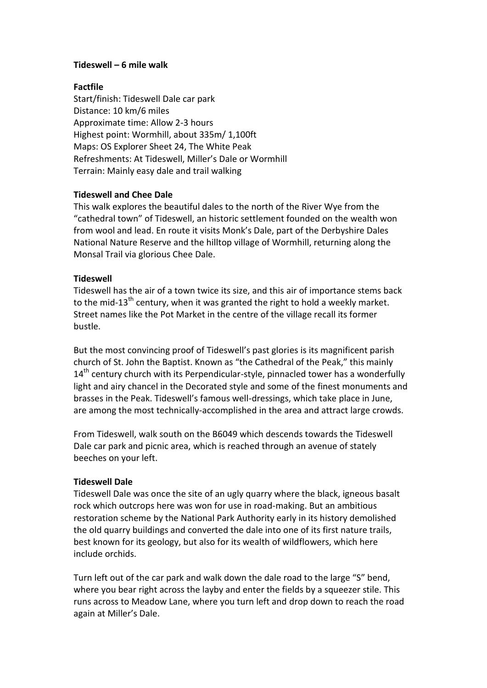### **Tideswell – 6 mile walk**

# **Factfile**

Start/finish: Tideswell Dale car park Distance: 10 km/6 miles Approximate time: Allow 2-3 hours Highest point: Wormhill, about 335m/ 1,100ft Maps: OS Explorer Sheet 24, The White Peak Refreshments: At Tideswell, Miller's Dale or Wormhill Terrain: Mainly easy dale and trail walking

# **Tideswell and Chee Dale**

This walk explores the beautiful dales to the north of the River Wye from the "cathedral town" of Tideswell, an historic settlement founded on the wealth won from wool and lead. En route it visits Monk's Dale, part of the Derbyshire Dales National Nature Reserve and the hilltop village of Wormhill, returning along the Monsal Trail via glorious Chee Dale.

# **Tideswell**

Tideswell has the air of a town twice its size, and this air of importance stems back to the mid-13<sup>th</sup> century, when it was granted the right to hold a weekly market. Street names like the Pot Market in the centre of the village recall its former bustle.

But the most convincing proof of Tideswell's past glories is its magnificent parish church of St. John the Baptist. Known as "the Cathedral of the Peak," this mainly  $14<sup>th</sup>$  century church with its Perpendicular-style, pinnacled tower has a wonderfully light and airy chancel in the Decorated style and some of the finest monuments and brasses in the Peak. Tideswell's famous well-dressings, which take place in June, are among the most technically-accomplished in the area and attract large crowds.

From Tideswell, walk south on the B6049 which descends towards the Tideswell Dale car park and picnic area, which is reached through an avenue of stately beeches on your left.

### **Tideswell Dale**

Tideswell Dale was once the site of an ugly quarry where the black, igneous basalt rock which outcrops here was won for use in road-making. But an ambitious restoration scheme by the National Park Authority early in its history demolished the old quarry buildings and converted the dale into one of its first nature trails, best known for its geology, but also for its wealth of wildflowers, which here include orchids.

Turn left out of the car park and walk down the dale road to the large "S" bend, where you bear right across the layby and enter the fields by a squeezer stile. This runs across to Meadow Lane, where you turn left and drop down to reach the road again at Miller's Dale.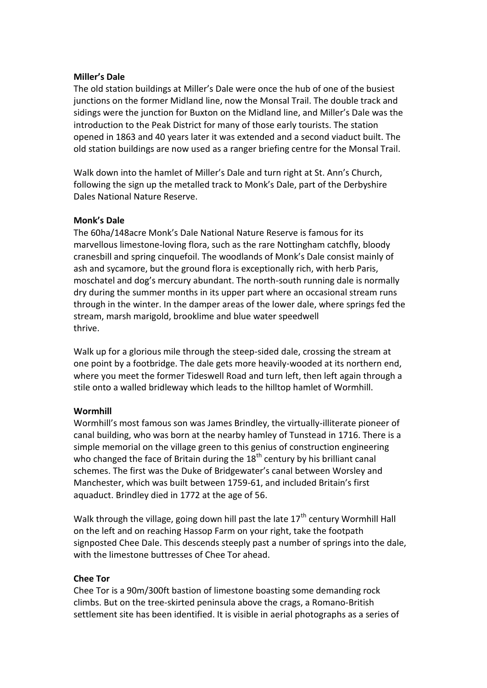#### **Miller's Dale**

The old station buildings at Miller's Dale were once the hub of one of the busiest junctions on the former Midland line, now the Monsal Trail. The double track and sidings were the junction for Buxton on the Midland line, and Miller's Dale was the introduction to the Peak District for many of those early tourists. The station opened in 1863 and 40 years later it was extended and a second viaduct built. The old station buildings are now used as a ranger briefing centre for the Monsal Trail.

Walk down into the hamlet of Miller's Dale and turn right at St. Ann's Church, following the sign up the metalled track to Monk's Dale, part of the Derbyshire Dales National Nature Reserve.

#### **Monk's Dale**

The 60ha/148acre Monk's Dale National Nature Reserve is famous for its marvellous limestone-loving flora, such as the rare Nottingham catchfly, bloody cranesbill and spring cinquefoil. The woodlands of Monk's Dale consist mainly of ash and sycamore, but the ground flora is exceptionally rich, with herb Paris, moschatel and dog's mercury abundant. The north-south running dale is normally dry during the summer months in its upper part where an occasional stream runs through in the winter. In the damper areas of the lower dale, where springs fed the stream, marsh marigold, brooklime and blue water speedwell thrive.

Walk up for a glorious mile through the steep-sided dale, crossing the stream at one point by a footbridge. The dale gets more heavily-wooded at its northern end, where you meet the former Tideswell Road and turn left, then left again through a stile onto a walled bridleway which leads to the hilltop hamlet of Wormhill.

### **Wormhill**

Wormhill's most famous son was James Brindley, the virtually-illiterate pioneer of canal building, who was born at the nearby hamley of Tunstead in 1716. There is a simple memorial on the village green to this genius of construction engineering who changed the face of Britain during the  $18<sup>th</sup>$  century by his brilliant canal schemes. The first was the Duke of Bridgewater's canal between Worsley and Manchester, which was built between 1759-61, and included Britain's first aquaduct. Brindley died in 1772 at the age of 56.

Walk through the village, going down hill past the late  $17<sup>th</sup>$  century Wormhill Hall on the left and on reaching Hassop Farm on your right, take the footpath signposted Chee Dale. This descends steeply past a number of springs into the dale, with the limestone buttresses of Chee Tor ahead.

### **Chee Tor**

Chee Tor is a 90m/300ft bastion of limestone boasting some demanding rock climbs. But on the tree-skirted peninsula above the crags, a Romano-British settlement site has been identified. It is visible in aerial photographs as a series of